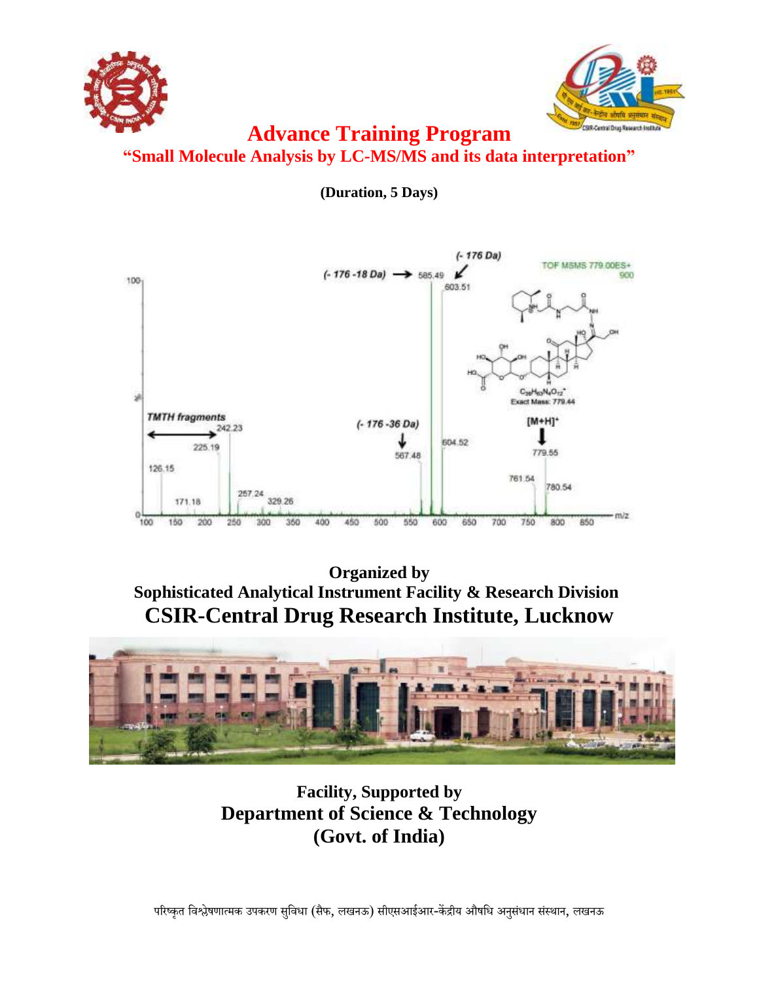



# **Advance Training Program "Small Molecule Analysis by LC-MS/MS and its data interpretation"**

**(Duration, 5 Days)**



**Organized by Sophisticated Analytical Instrument Facility & Research Division CSIR-Central Drug Research Institute, Lucknow**



**Facility, Supported by Department of Science & Technology (Govt. of India)**

परिष्कृत विश्लेषणात्मक उपकरण सुविधा (सैफ, लखनऊ) सीएसआईआर-केंद्रीय औषधि अनुसंधान संस्थान, लखनऊ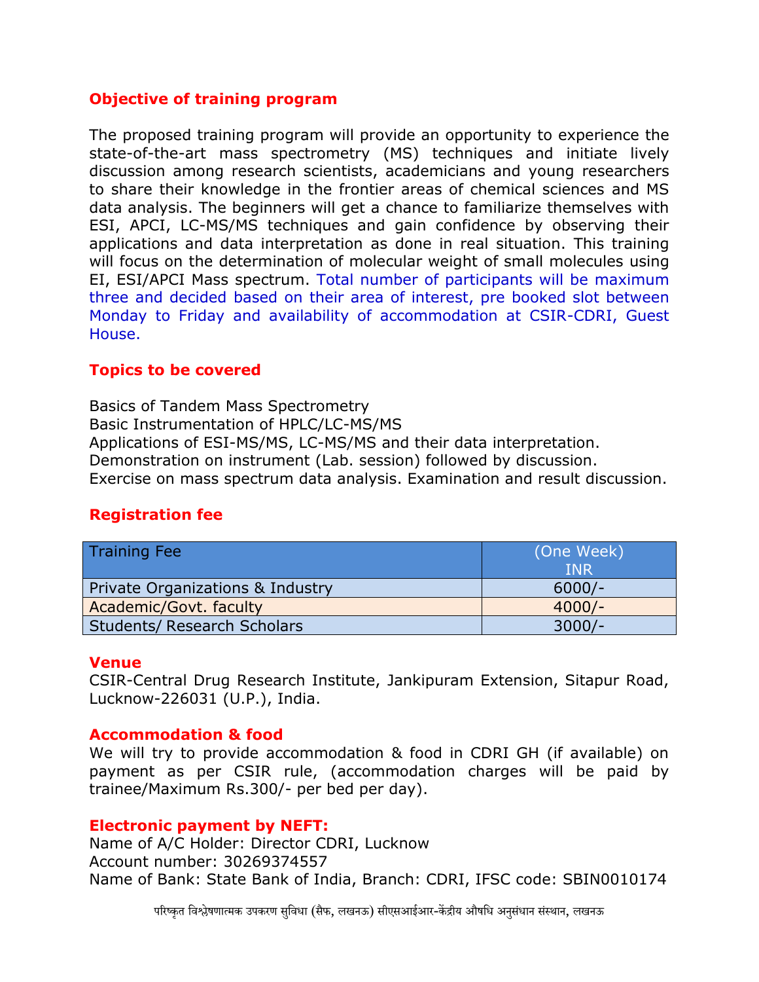# **Objective of training program**

The proposed training program will provide an opportunity to experience the state-of-the-art mass spectrometry (MS) techniques and initiate lively discussion among research scientists, academicians and young researchers to share their knowledge in the frontier areas of chemical sciences and MS data analysis. The beginners will get a chance to familiarize themselves with ESI, APCI, LC-MS/MS techniques and gain confidence by observing their applications and data interpretation as done in real situation. This training will focus on the determination of molecular weight of small molecules using EI, ESI/APCI Mass spectrum. Total number of participants will be maximum three and decided based on their area of interest, pre booked slot between Monday to Friday and availability of accommodation at CSIR-CDRI, Guest House.

# **Topics to be covered**

Basics of Tandem Mass Spectrometry Basic Instrumentation of HPLC/LC-MS/MS Applications of ESI-MS/MS, LC-MS/MS and their data interpretation. Demonstration on instrument (Lab. session) followed by discussion. Exercise on mass spectrum data analysis. Examination and result discussion.

# **Registration fee**

| <b>Training Fee</b>                | (One Week)<br><b>INR</b> |
|------------------------------------|--------------------------|
| Private Organizations & Industry   | $6000/-$                 |
| Academic/Govt. faculty             | $4000/-$                 |
| <b>Students/ Research Scholars</b> | $3000/-$                 |

## **Venue**

CSIR-Central Drug Research Institute, Jankipuram Extension, Sitapur Road, Lucknow-226031 (U.P.), India.

## **Accommodation & food**

We will try to provide accommodation & food in CDRI GH (if available) on payment as per CSIR rule, (accommodation charges will be paid by trainee/Maximum Rs.300/- per bed per day).

#### **Electronic payment by NEFT:**

Name of A/C Holder: Director CDRI, Lucknow Account number: 30269374557 Name of Bank: State Bank of India, Branch: CDRI, IFSC code: SBIN0010174

परिष्कृत विश्लेषणात्मक उपकरण सविधा (सैफ, लखनऊ) सीएसआईआर-केंद्रीय औषधि अनसंधान संस्थान, लखनऊ